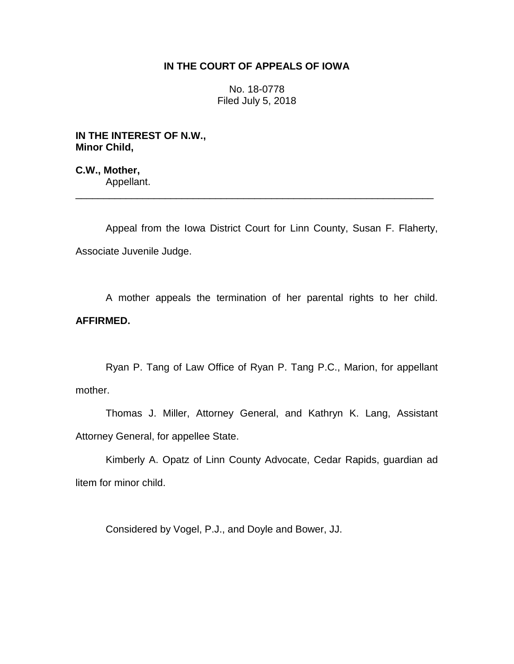## **IN THE COURT OF APPEALS OF IOWA**

No. 18-0778 Filed July 5, 2018

**IN THE INTEREST OF N.W., Minor Child,**

**C.W., Mother,** Appellant.

Appeal from the Iowa District Court for Linn County, Susan F. Flaherty, Associate Juvenile Judge.

\_\_\_\_\_\_\_\_\_\_\_\_\_\_\_\_\_\_\_\_\_\_\_\_\_\_\_\_\_\_\_\_\_\_\_\_\_\_\_\_\_\_\_\_\_\_\_\_\_\_\_\_\_\_\_\_\_\_\_\_\_\_\_\_

A mother appeals the termination of her parental rights to her child. **AFFIRMED.**

Ryan P. Tang of Law Office of Ryan P. Tang P.C., Marion, for appellant mother.

Thomas J. Miller, Attorney General, and Kathryn K. Lang, Assistant Attorney General, for appellee State.

Kimberly A. Opatz of Linn County Advocate, Cedar Rapids, guardian ad litem for minor child.

Considered by Vogel, P.J., and Doyle and Bower, JJ.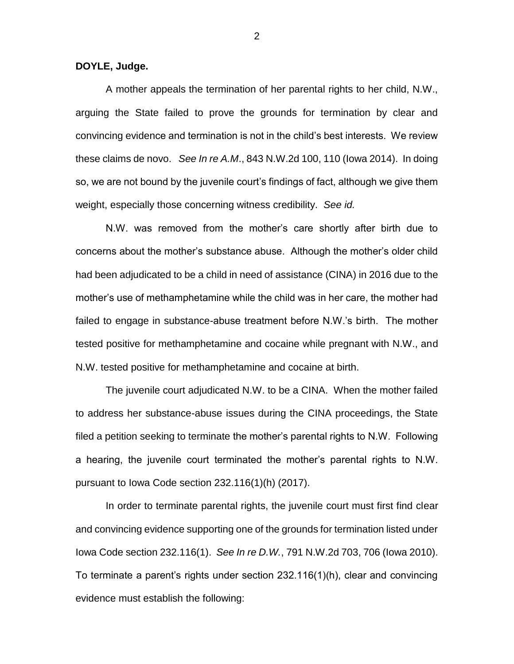**DOYLE, Judge.**

A mother appeals the termination of her parental rights to her child, N.W., arguing the State failed to prove the grounds for termination by clear and convincing evidence and termination is not in the child's best interests. We review these claims de novo. *See In re A.M*., 843 N.W.2d 100, 110 (Iowa 2014). In doing so, we are not bound by the juvenile court's findings of fact, although we give them weight, especially those concerning witness credibility. *See id.*

N.W. was removed from the mother's care shortly after birth due to concerns about the mother's substance abuse. Although the mother's older child had been adjudicated to be a child in need of assistance (CINA) in 2016 due to the mother's use of methamphetamine while the child was in her care, the mother had failed to engage in substance-abuse treatment before N.W.'s birth. The mother tested positive for methamphetamine and cocaine while pregnant with N.W., and N.W. tested positive for methamphetamine and cocaine at birth.

The juvenile court adjudicated N.W. to be a CINA. When the mother failed to address her substance-abuse issues during the CINA proceedings, the State filed a petition seeking to terminate the mother's parental rights to N.W. Following a hearing, the juvenile court terminated the mother's parental rights to N.W. pursuant to Iowa Code section 232.116(1)(h) (2017).

In order to terminate parental rights, the juvenile court must first find clear and convincing evidence supporting one of the grounds for termination listed under Iowa Code section 232.116(1). *See In re D.W.*, 791 N.W.2d 703, 706 (Iowa 2010). To terminate a parent's rights under section 232.116(1)(h), clear and convincing evidence must establish the following:

2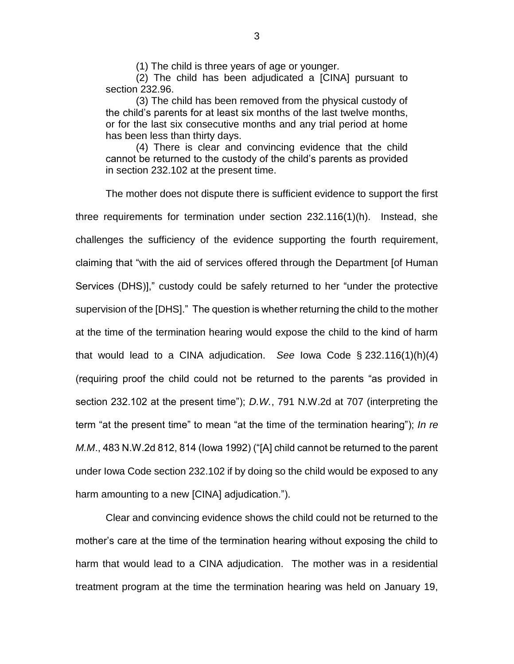(1) The child is three years of age or younger.

(2) The child has been adjudicated a [CINA] pursuant to section 232.96.

(3) The child has been removed from the physical custody of the child's parents for at least six months of the last twelve months, or for the last six consecutive months and any trial period at home has been less than thirty days.

(4) There is clear and convincing evidence that the child cannot be returned to the custody of the child's parents as provided in section 232.102 at the present time.

The mother does not dispute there is sufficient evidence to support the first three requirements for termination under section 232.116(1)(h). Instead, she challenges the sufficiency of the evidence supporting the fourth requirement, claiming that "with the aid of services offered through the Department [of Human Services (DHS)]," custody could be safely returned to her "under the protective supervision of the [DHS]." The question is whether returning the child to the mother at the time of the termination hearing would expose the child to the kind of harm that would lead to a CINA adjudication. *See* Iowa Code § 232.116(1)(h)(4) (requiring proof the child could not be returned to the parents "as provided in section 232.102 at the present time"); *D.W.*, 791 N.W.2d at 707 (interpreting the term "at the present time" to mean "at the time of the termination hearing"); *In re M.M*., 483 N.W.2d 812, 814 (Iowa 1992) ("[A] child cannot be returned to the parent under Iowa Code section 232.102 if by doing so the child would be exposed to any harm amounting to a new [CINA] adjudication.").

Clear and convincing evidence shows the child could not be returned to the mother's care at the time of the termination hearing without exposing the child to harm that would lead to a CINA adjudication. The mother was in a residential treatment program at the time the termination hearing was held on January 19,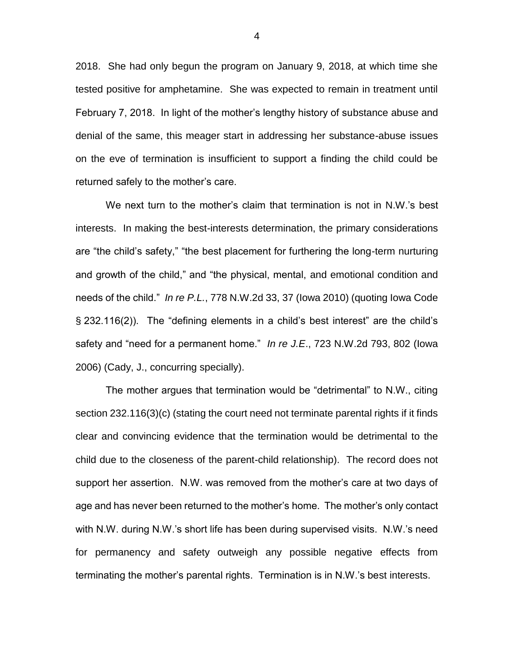2018. She had only begun the program on January 9, 2018, at which time she tested positive for amphetamine. She was expected to remain in treatment until February 7, 2018. In light of the mother's lengthy history of substance abuse and denial of the same, this meager start in addressing her substance-abuse issues on the eve of termination is insufficient to support a finding the child could be returned safely to the mother's care.

We next turn to the mother's claim that termination is not in N.W.'s best interests. In making the best-interests determination, the primary considerations are "the child's safety," "the best placement for furthering the long-term nurturing and growth of the child," and "the physical, mental, and emotional condition and needs of the child." *In re P.L.*, 778 N.W.2d 33, 37 (Iowa 2010) (quoting Iowa Code § 232.116(2)). The "defining elements in a child's best interest" are the child's safety and "need for a permanent home." *In re J.E*., 723 N.W.2d 793, 802 (Iowa 2006) (Cady, J., concurring specially).

The mother argues that termination would be "detrimental" to N.W., citing section 232.116(3)(c) (stating the court need not terminate parental rights if it finds clear and convincing evidence that the termination would be detrimental to the child due to the closeness of the parent-child relationship). The record does not support her assertion. N.W. was removed from the mother's care at two days of age and has never been returned to the mother's home. The mother's only contact with N.W. during N.W.'s short life has been during supervised visits. N.W.'s need for permanency and safety outweigh any possible negative effects from terminating the mother's parental rights. Termination is in N.W.'s best interests.

4